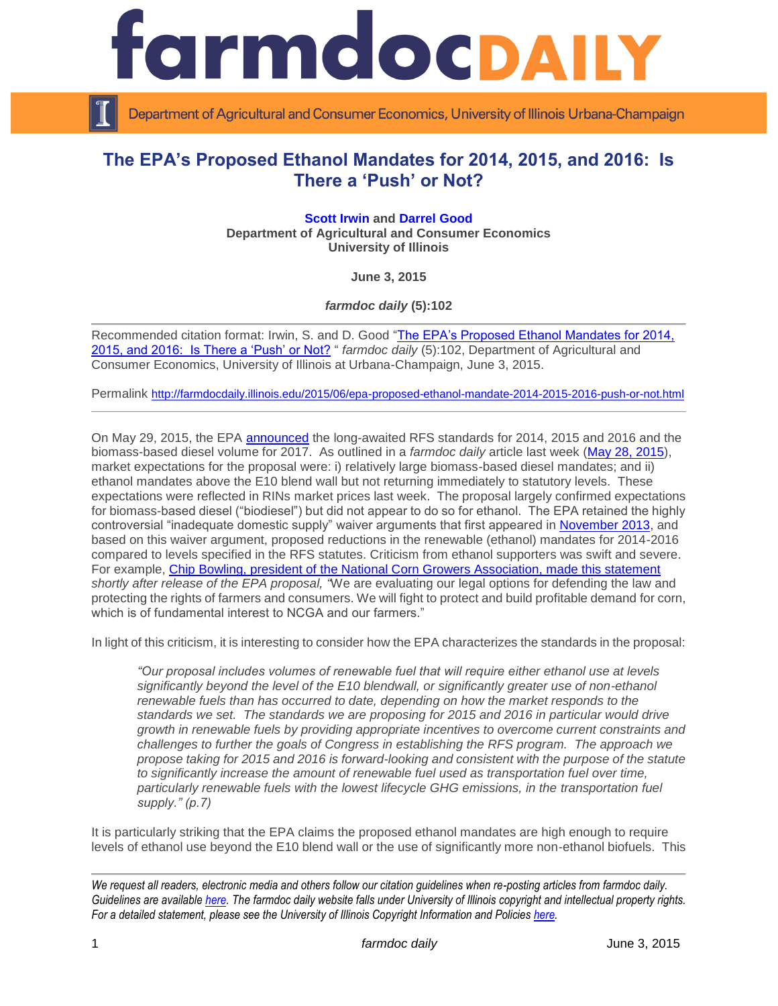

Department of Agricultural and Consumer Economics, University of Illinois Urbana-Champaign

# **The EPA's Proposed Ethanol Mandates for 2014, 2015, and 2016: Is There a 'Push' or Not?**

#### **[Scott Irwin](http://farmdoc.illinois.edu/irwin) and [Darrel Good](http://farmdoc.illinois.edu/good)**

**Department of Agricultural and Consumer Economics University of Illinois**

**June 3, 2015**

*farmdoc daily* **(5):102**

Recommended citation format: Irwin, S. and D. Good "The EPA's Proposed Ethanol Mandates for 2014, [2015, and 2016: Is There a 'Push' or Not?](http://farmdocdaily.illinois.edu/2015/06/epa-proposed-ethanol-mandate-2014-2015-2016-push-or-not.html) " *farmdoc daily* (5):102, Department of Agricultural and Consumer Economics, University of Illinois at Urbana-Champaign, June 3, 2015.

Permalink <http://farmdocdaily.illinois.edu/2015/06/epa-proposed-ethanol-mandate-2014-2015-2016-push-or-not.html>

On May 29, 2015, the EPA [announced](http://www.epa.gov/otaq/fuels/renewablefuels/documents/rfs-2014-2016-standards-nprm.pdf) the long-awaited RFS standards for 2014, 2015 and 2016 and the biomass-based diesel volume for 2017. As outlined in a *farmdoc daily* article last week [\(May 28, 2015\)](http://farmdocdaily.illinois.edu/2015/05/clues-from-rins-market-about-epa-proposals.html), market expectations for the proposal were: i) relatively large biomass-based diesel mandates; and ii) ethanol mandates above the E10 blend wall but not returning immediately to statutory levels. These expectations were reflected in RINs market prices last week. The proposal largely confirmed expectations for biomass-based diesel ("biodiesel") but did not appear to do so for ethanol. The EPA retained the highly controversial "inadequate domestic supply" waiver arguments that first appeared in [November 2013,](http://www.gpo.gov/fdsys/pkg/FR-2013-11-29/pdf/2013-28155.pdf) and based on this waiver argument, proposed reductions in the renewable (ethanol) mandates for 2014-2016 compared to levels specified in the RFS statutes. Criticism from ethanol supporters was swift and severe. For example, Chip Bowling, president of the National Corn Growers [Association,](http://www.ncga.com/news-and-resources/news-stories/article/2015/05/epa-snubs-consumers-and-farmers-again-takes-renewable-fuel-backward) made this statement *shortly after release of the EPA proposal, "*We are evaluating our legal options for defending the law and protecting the rights of farmers and consumers. We will fight to protect and build profitable demand for corn, which is of fundamental interest to NCGA and our farmers."

In light of this criticism, it is interesting to consider how the EPA characterizes the standards in the proposal:

*"Our proposal includes volumes of renewable fuel that will require either ethanol use at levels significantly beyond the level of the E10 blendwall, or significantly greater use of non-ethanol renewable fuels than has occurred to date, depending on how the market responds to the standards we set. The standards we are proposing for 2015 and 2016 in particular would drive growth in renewable fuels by providing appropriate incentives to overcome current constraints and challenges to further the goals of Congress in establishing the RFS program. The approach we propose taking for 2015 and 2016 is forward-looking and consistent with the purpose of the statute to significantly increase the amount of renewable fuel used as transportation fuel over time, particularly renewable fuels with the lowest lifecycle GHG emissions, in the transportation fuel supply." (p.7)*

It is particularly striking that the EPA claims the proposed ethanol mandates are high enough to require levels of ethanol use beyond the E10 blend wall or the use of significantly more non-ethanol biofuels. This

*We request all readers, electronic media and others follow our citation guidelines when re-posting articles from farmdoc daily. Guidelines are available [here.](http://farmdocdaily.illinois.edu/citationguide.html) The farmdoc daily website falls under University of Illinois copyright and intellectual property rights. For a detailed statement, please see the University of Illinois Copyright Information and Policies [here.](http://www.cio.illinois.edu/policies/copyright/)*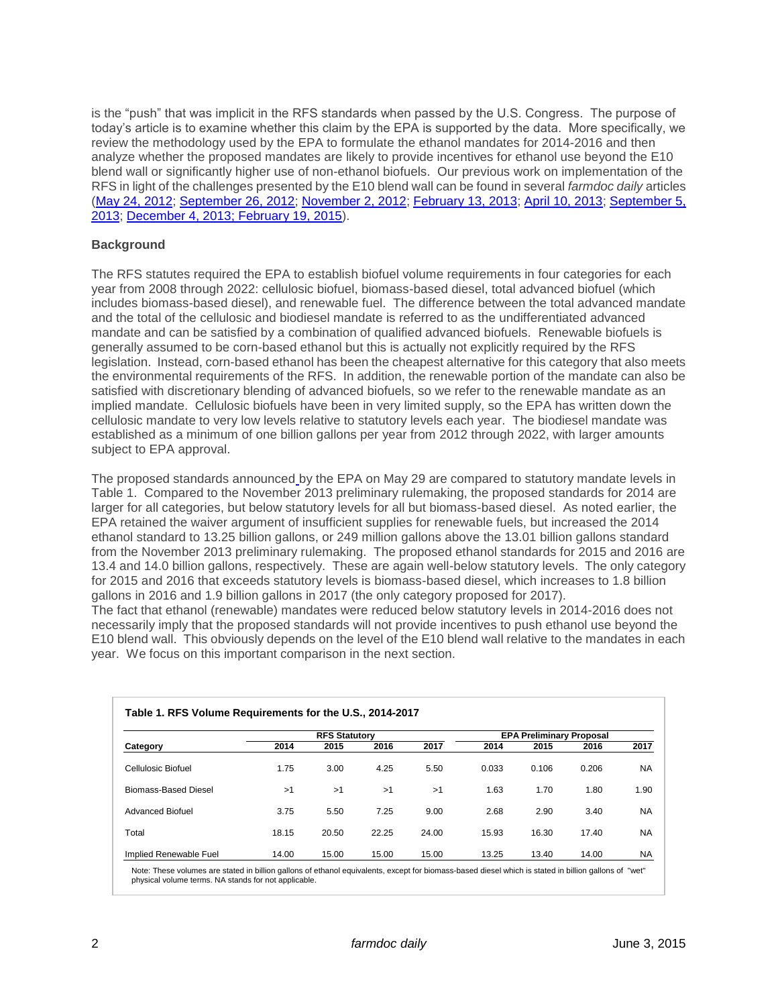is the "push" that was implicit in the RFS standards when passed by the U.S. Congress. The purpose of today's article is to examine whether this claim by the EPA is supported by the data. More specifically, we review the methodology used by the EPA to formulate the ethanol mandates for 2014-2016 and then analyze whether the proposed mandates are likely to provide incentives for ethanol use beyond the E10 blend wall or significantly higher use of non-ethanol biofuels. Our previous work on implementation of the RFS in light of the challenges presented by the E10 blend wall can be found in several *farmdoc daily* articles [\(May 24, 2012;](http://farmdocdaily.illinois.edu/2012/05/is-the-long-ethanol-boom-comin-1.html) [September 26, 2012;](http://farmdocdaily.illinois.edu/2012/09/the-impending-collision-of-bio.html) [November 2, 2012;](http://farmdocdaily.illinois.edu/2012/11/the-biofuels-era---a-changing-.html) [February 13, 2013;](http://farmdocdaily.illinois.edu/2013/02/ethanol-blend-wall-biodiesel-RFS.html) [April 10, 2013;](http://farmdocdaily.illinois.edu/2013/04/freeze-it-proposal-implementing-RFS2.html) [September 5,](http://farmdocdaily.illinois.edu/2013/09/decision-time-for-the-rfs.html)  [2013;](http://farmdocdaily.illinois.edu/2013/09/decision-time-for-the-rfs.html) [December 4, 2013;](http://farmdocdaily.illinois.edu/2013/12/Potential-Impact-Alternative-RFS-2014-2015.html) [February 19, 2015\)](http://farmdocdaily.illinois.edu/2015/02/what-if-epa-implements-rfs-mandates.html).

## **Background**

The RFS statutes required the EPA to establish biofuel volume requirements in four categories for each year from 2008 through 2022: cellulosic biofuel, biomass-based diesel, total advanced biofuel (which includes biomass-based diesel), and renewable fuel. The difference between the total advanced mandate and the total of the cellulosic and biodiesel mandate is referred to as the undifferentiated advanced mandate and can be satisfied by a combination of qualified advanced biofuels. Renewable biofuels is generally assumed to be corn-based ethanol but this is actually not explicitly required by the RFS legislation. Instead, corn-based ethanol has been the cheapest alternative for this category that also meets the environmental requirements of the RFS. In addition, the renewable portion of the mandate can also be satisfied with discretionary blending of advanced biofuels, so we refer to the renewable mandate as an implied mandate. Cellulosic biofuels have been in very limited supply, so the EPA has written down the cellulosic mandate to very low levels relative to statutory levels each year. The biodiesel mandate was established as a minimum of one billion gallons per year from 2012 through 2022, with larger amounts subject to EPA approval.

The proposed standards announced by the EPA on May 29 are compared to statutory mandate levels in Table 1. Compared to the November 2013 preliminary rulemaking, the proposed standards for 2014 are larger for all categories, but below statutory levels for all but biomass-based diesel. As noted earlier, the EPA retained the waiver argument of insufficient supplies for renewable fuels, but increased the 2014 ethanol standard to 13.25 billion gallons, or 249 million gallons above the 13.01 billion gallons standard from the November 2013 preliminary rulemaking. The proposed ethanol standards for 2015 and 2016 are 13.4 and 14.0 billion gallons, respectively. These are again well-below statutory levels. The only category for 2015 and 2016 that exceeds statutory levels is biomass-based diesel, which increases to 1.8 billion gallons in 2016 and 1.9 billion gallons in 2017 (the only category proposed for 2017). The fact that ethanol (renewable) mandates were reduced below statutory levels in 2014-2016 does not necessarily imply that the proposed standards will not provide incentives to push ethanol use beyond the E10 blend wall. This obviously depends on the level of the E10 blend wall relative to the mandates in each year. We focus on this important comparison in the next section.

| Category                |       | <b>RFS Statutory</b> |       | <b>EPA Preliminary Proposal</b> |       |       |       |           |
|-------------------------|-------|----------------------|-------|---------------------------------|-------|-------|-------|-----------|
|                         | 2014  | 2015                 | 2016  | 2017                            | 2014  | 2015  | 2016  | 2017      |
| Cellulosic Biofuel      | 1.75  | 3.00                 | 4.25  | 5.50                            | 0.033 | 0.106 | 0.206 | <b>NA</b> |
| Biomass-Based Diesel    | >1    | >1                   | >1    | >1                              | 1.63  | 1.70  | 1.80  | 1.90      |
| <b>Advanced Biofuel</b> | 3.75  | 5.50                 | 7.25  | 9.00                            | 2.68  | 2.90  | 3.40  | <b>NA</b> |
| Total                   | 18.15 | 20.50                | 22.25 | 24.00                           | 15.93 | 16.30 | 17.40 | <b>NA</b> |

Note: These volumes are stated in billion gallons of ethanol equivalents, except for biomass-based diesel which is stated in billion gallons of "wet" physical volume terms. NA stands for not applicable.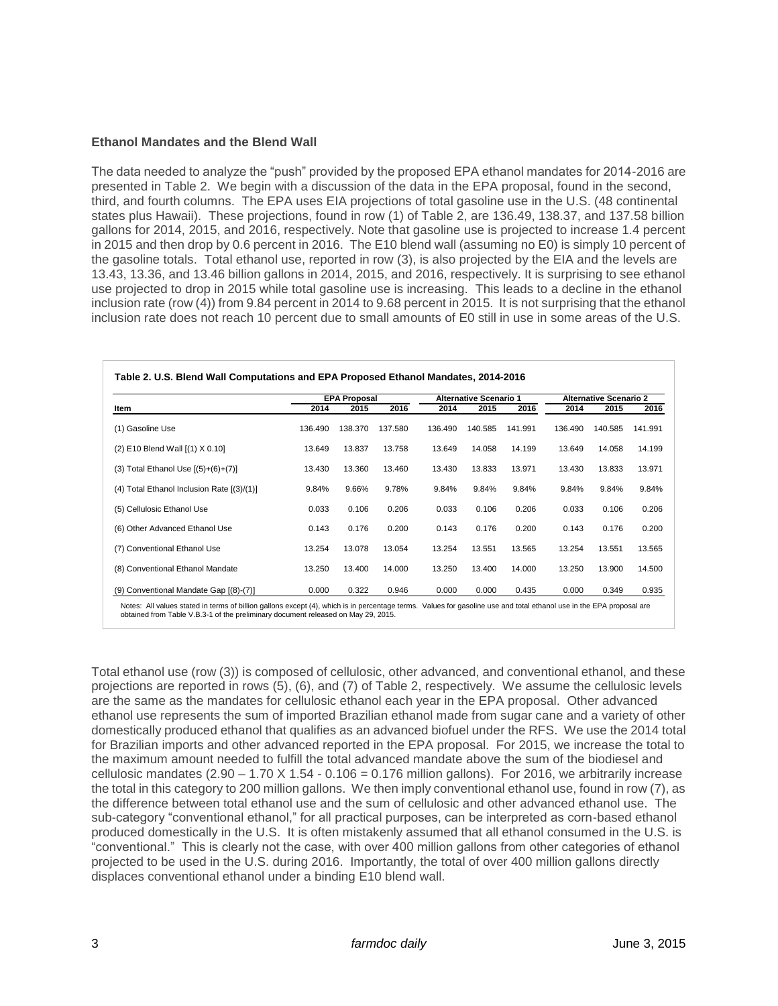#### **Ethanol Mandates and the Blend Wall**

The data needed to analyze the "push" provided by the proposed EPA ethanol mandates for 2014-2016 are presented in Table 2. We begin with a discussion of the data in the EPA proposal, found in the second, third, and fourth columns. The EPA uses EIA projections of total gasoline use in the U.S. (48 continental states plus Hawaii). These projections, found in row (1) of Table 2, are 136.49, 138.37, and 137.58 billion gallons for 2014, 2015, and 2016, respectively. Note that gasoline use is projected to increase 1.4 percent in 2015 and then drop by 0.6 percent in 2016. The E10 blend wall (assuming no E0) is simply 10 percent of the gasoline totals. Total ethanol use, reported in row (3), is also projected by the EIA and the levels are 13.43, 13.36, and 13.46 billion gallons in 2014, 2015, and 2016, respectively. It is surprising to see ethanol use projected to drop in 2015 while total gasoline use is increasing. This leads to a decline in the ethanol inclusion rate (row (4)) from 9.84 percent in 2014 to 9.68 percent in 2015. It is not surprising that the ethanol inclusion rate does not reach 10 percent due to small amounts of E0 still in use in some areas of the U.S.

|                                                | <b>EPA Proposal</b> | <b>Alternative Scenario 1</b> |         |         | <b>Alternative Scenario 2</b> |         |         |         |         |
|------------------------------------------------|---------------------|-------------------------------|---------|---------|-------------------------------|---------|---------|---------|---------|
| Item                                           | 2014                | 2015                          | 2016    | 2014    | 2015                          | 2016    | 2014    | 2015    | 2016    |
| (1) Gasoline Use                               | 136.490             | 138.370                       | 137.580 | 136.490 | 140.585                       | 141.991 | 136.490 | 140.585 | 141.991 |
| $(2)$ E10 Blend Wall $[(1)$ X 0.10]            | 13.649              | 13.837                        | 13.758  | 13.649  | 14.058                        | 14.199  | 13.649  | 14.058  | 14.199  |
| $(3)$ Total Ethanol Use $[(5)+(6)+(7)]$        | 13.430              | 13.360                        | 13.460  | 13.430  | 13.833                        | 13.971  | 13.430  | 13.833  | 13.971  |
| $(4)$ Total Ethanol Inclusion Rate $[(3)/(1)]$ | 9.84%               | 9.66%                         | 9.78%   | 9.84%   | 9.84%                         | 9.84%   | 9.84%   | 9.84%   | 9.84%   |
| (5) Cellulosic Ethanol Use                     | 0.033               | 0.106                         | 0.206   | 0.033   | 0.106                         | 0.206   | 0.033   | 0.106   | 0.206   |
| (6) Other Advanced Ethanol Use                 | 0.143               | 0.176                         | 0.200   | 0.143   | 0.176                         | 0.200   | 0.143   | 0.176   | 0.200   |
| (7) Conventional Ethanol Use                   | 13.254              | 13.078                        | 13.054  | 13.254  | 13.551                        | 13.565  | 13.254  | 13.551  | 13.565  |
| (8) Conventional Ethanol Mandate               | 13.250              | 13.400                        | 14.000  | 13.250  | 13.400                        | 14.000  | 13.250  | 13.900  | 14.500  |
| (9) Conventional Mandate Gap [(8)-(7)]         | 0.000               | 0.322                         | 0.946   | 0.000   | 0.000                         | 0.435   | 0.000   | 0.349   | 0.935   |

Total ethanol use (row (3)) is composed of cellulosic, other advanced, and conventional ethanol, and these projections are reported in rows (5), (6), and (7) of Table 2, respectively. We assume the cellulosic levels are the same as the mandates for cellulosic ethanol each year in the EPA proposal. Other advanced ethanol use represents the sum of imported Brazilian ethanol made from sugar cane and a variety of other domestically produced ethanol that qualifies as an advanced biofuel under the RFS. We use the 2014 total for Brazilian imports and other advanced reported in the EPA proposal. For 2015, we increase the total to the maximum amount needed to fulfill the total advanced mandate above the sum of the biodiesel and cellulosic mandates  $(2.90 - 1.70 \times 1.54 - 0.106 = 0.176$  million gallons). For 2016, we arbitrarily increase the total in this category to 200 million gallons. We then imply conventional ethanol use, found in row (7), as the difference between total ethanol use and the sum of cellulosic and other advanced ethanol use. The sub-category "conventional ethanol," for all practical purposes, can be interpreted as corn-based ethanol produced domestically in the U.S. It is often mistakenly assumed that all ethanol consumed in the U.S. is "conventional." This is clearly not the case, with over 400 million gallons from other categories of ethanol projected to be used in the U.S. during 2016. Importantly, the total of over 400 million gallons directly displaces conventional ethanol under a binding E10 blend wall.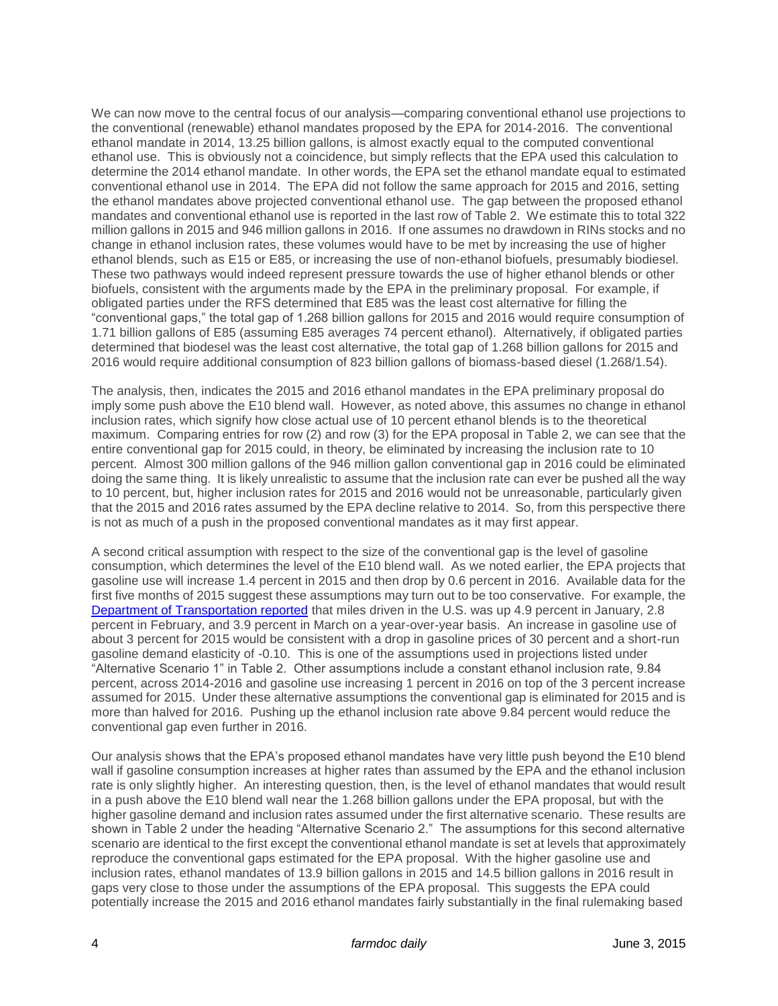We can now move to the central focus of our analysis—comparing conventional ethanol use projections to the conventional (renewable) ethanol mandates proposed by the EPA for 2014-2016. The conventional ethanol mandate in 2014, 13.25 billion gallons, is almost exactly equal to the computed conventional ethanol use. This is obviously not a coincidence, but simply reflects that the EPA used this calculation to determine the 2014 ethanol mandate. In other words, the EPA set the ethanol mandate equal to estimated conventional ethanol use in 2014. The EPA did not follow the same approach for 2015 and 2016, setting the ethanol mandates above projected conventional ethanol use. The gap between the proposed ethanol mandates and conventional ethanol use is reported in the last row of Table 2. We estimate this to total 322 million gallons in 2015 and 946 million gallons in 2016. If one assumes no drawdown in RINs stocks and no change in ethanol inclusion rates, these volumes would have to be met by increasing the use of higher ethanol blends, such as E15 or E85, or increasing the use of non-ethanol biofuels, presumably biodiesel. These two pathways would indeed represent pressure towards the use of higher ethanol blends or other biofuels, consistent with the arguments made by the EPA in the preliminary proposal. For example, if obligated parties under the RFS determined that E85 was the least cost alternative for filling the "conventional gaps," the total gap of 1.268 billion gallons for 2015 and 2016 would require consumption of 1.71 billion gallons of E85 (assuming E85 averages 74 percent ethanol). Alternatively, if obligated parties determined that biodesel was the least cost alternative, the total gap of 1.268 billion gallons for 2015 and 2016 would require additional consumption of 823 billion gallons of biomass-based diesel (1.268/1.54).

The analysis, then, indicates the 2015 and 2016 ethanol mandates in the EPA preliminary proposal do imply some push above the E10 blend wall. However, as noted above, this assumes no change in ethanol inclusion rates, which signify how close actual use of 10 percent ethanol blends is to the theoretical maximum. Comparing entries for row (2) and row (3) for the EPA proposal in Table 2, we can see that the entire conventional gap for 2015 could, in theory, be eliminated by increasing the inclusion rate to 10 percent. Almost 300 million gallons of the 946 million gallon conventional gap in 2016 could be eliminated doing the same thing. It is likely unrealistic to assume that the inclusion rate can ever be pushed all the way to 10 percent, but, higher inclusion rates for 2015 and 2016 would not be unreasonable, particularly given that the 2015 and 2016 rates assumed by the EPA decline relative to 2014. So, from this perspective there is not as much of a push in the proposed conventional mandates as it may first appear.

A second critical assumption with respect to the size of the conventional gap is the level of gasoline consumption, which determines the level of the E10 blend wall. As we noted earlier, the EPA projects that gasoline use will increase 1.4 percent in 2015 and then drop by 0.6 percent in 2016. Available data for the first five months of 2015 suggest these assumptions may turn out to be too conservative. For example, the [Department of Transportation reported](http://www.fhwa.dot.gov/policyinformation/travel_monitoring/15febtvt/) that miles driven in the U.S. was up 4.9 percent in January, 2.8 percent in February, and 3.9 percent in March on a year-over-year basis. An increase in gasoline use of about 3 percent for 2015 would be consistent with a drop in gasoline prices of 30 percent and a short-run gasoline demand elasticity of -0.10. This is one of the assumptions used in projections listed under "Alternative Scenario 1" in Table 2. Other assumptions include a constant ethanol inclusion rate, 9.84 percent, across 2014-2016 and gasoline use increasing 1 percent in 2016 on top of the 3 percent increase assumed for 2015. Under these alternative assumptions the conventional gap is eliminated for 2015 and is more than halved for 2016. Pushing up the ethanol inclusion rate above 9.84 percent would reduce the conventional gap even further in 2016.

Our analysis shows that the EPA's proposed ethanol mandates have very little push beyond the E10 blend wall if gasoline consumption increases at higher rates than assumed by the EPA and the ethanol inclusion rate is only slightly higher. An interesting question, then, is the level of ethanol mandates that would result in a push above the E10 blend wall near the 1.268 billion gallons under the EPA proposal, but with the higher gasoline demand and inclusion rates assumed under the first alternative scenario. These results are shown in Table 2 under the heading "Alternative Scenario 2." The assumptions for this second alternative scenario are identical to the first except the conventional ethanol mandate is set at levels that approximately reproduce the conventional gaps estimated for the EPA proposal. With the higher gasoline use and inclusion rates, ethanol mandates of 13.9 billion gallons in 2015 and 14.5 billion gallons in 2016 result in gaps very close to those under the assumptions of the EPA proposal. This suggests the EPA could potentially increase the 2015 and 2016 ethanol mandates fairly substantially in the final rulemaking based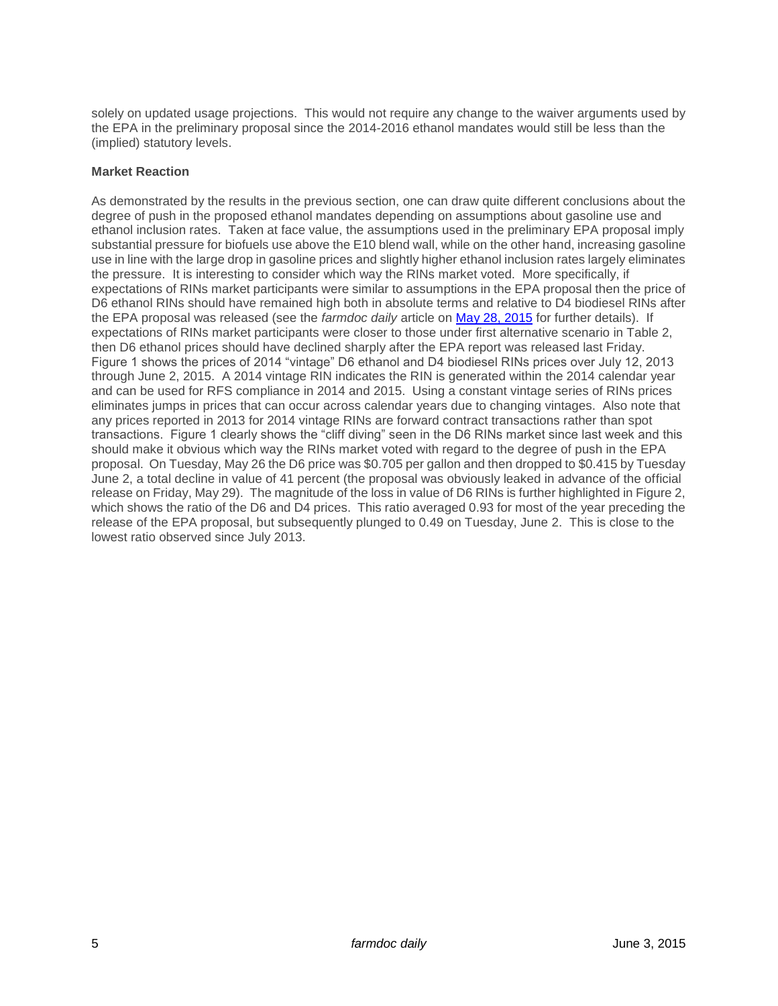solely on updated usage projections. This would not require any change to the waiver arguments used by the EPA in the preliminary proposal since the 2014-2016 ethanol mandates would still be less than the (implied) statutory levels.

## **Market Reaction**

As demonstrated by the results in the previous section, one can draw quite different conclusions about the degree of push in the proposed ethanol mandates depending on assumptions about gasoline use and ethanol inclusion rates. Taken at face value, the assumptions used in the preliminary EPA proposal imply substantial pressure for biofuels use above the E10 blend wall, while on the other hand, increasing gasoline use in line with the large drop in gasoline prices and slightly higher ethanol inclusion rates largely eliminates the pressure. It is interesting to consider which way the RINs market voted. More specifically, if expectations of RINs market participants were similar to assumptions in the EPA proposal then the price of D6 ethanol RINs should have remained high both in absolute terms and relative to D4 biodiesel RINs after the EPA proposal was released (see the *farmdoc daily* article on [May 28, 2015](http://farmdocdaily.illinois.edu/2015/05/clues-from-rins-market-about-epa-proposals.html) for further details). If expectations of RINs market participants were closer to those under first alternative scenario in Table 2, then D6 ethanol prices should have declined sharply after the EPA report was released last Friday. Figure 1 shows the prices of 2014 "vintage" D6 ethanol and D4 biodiesel RINs prices over July 12, 2013 through June 2, 2015. A 2014 vintage RIN indicates the RIN is generated within the 2014 calendar year and can be used for RFS compliance in 2014 and 2015. Using a constant vintage series of RINs prices eliminates jumps in prices that can occur across calendar years due to changing vintages. Also note that any prices reported in 2013 for 2014 vintage RINs are forward contract transactions rather than spot transactions. Figure 1 clearly shows the "cliff diving" seen in the D6 RINs market since last week and this should make it obvious which way the RINs market voted with regard to the degree of push in the EPA proposal. On Tuesday, May 26 the D6 price was \$0.705 per gallon and then dropped to \$0.415 by Tuesday June 2, a total decline in value of 41 percent (the proposal was obviously leaked in advance of the official release on Friday, May 29). The magnitude of the loss in value of D6 RINs is further highlighted in Figure 2, which shows the ratio of the D6 and D4 prices. This ratio averaged 0.93 for most of the year preceding the release of the EPA proposal, but subsequently plunged to 0.49 on Tuesday, June 2. This is close to the lowest ratio observed since July 2013.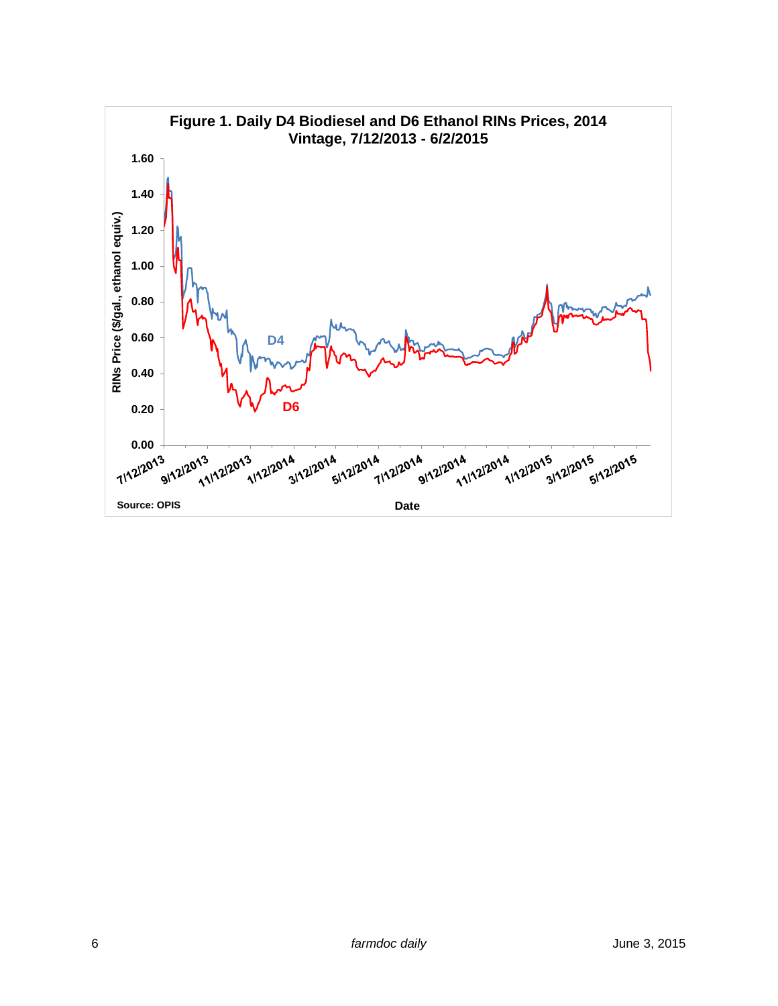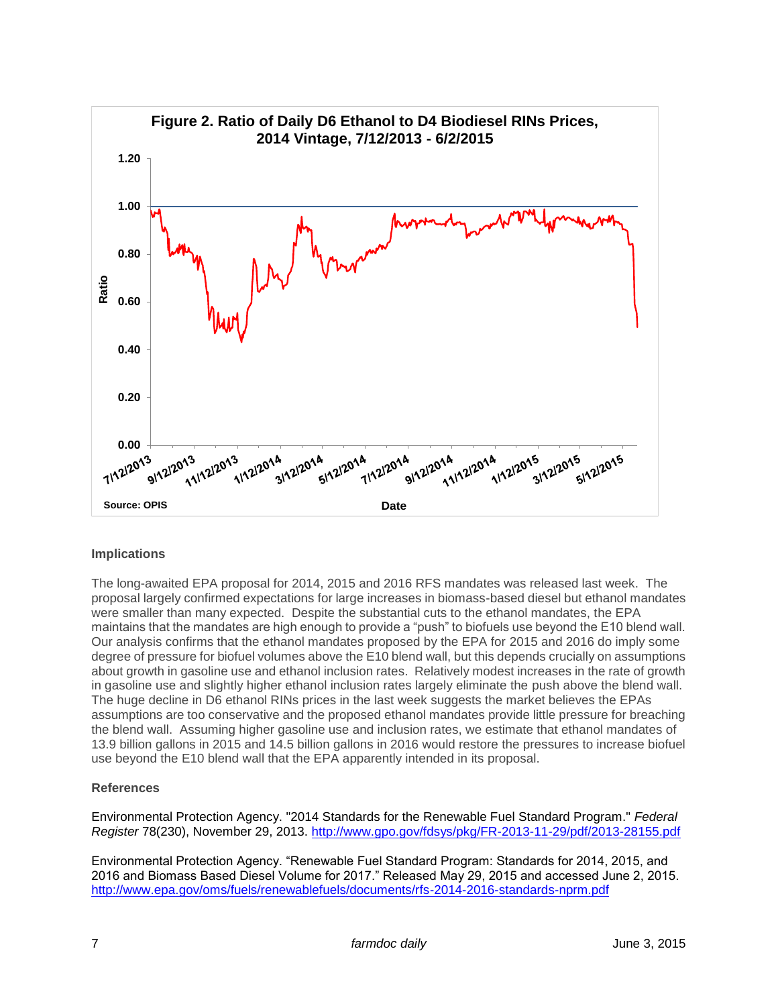

## **Implications**

The long-awaited EPA proposal for 2014, 2015 and 2016 RFS mandates was released last week. The proposal largely confirmed expectations for large increases in biomass-based diesel but ethanol mandates were smaller than many expected. Despite the substantial cuts to the ethanol mandates, the EPA maintains that the mandates are high enough to provide a "push" to biofuels use beyond the E10 blend wall. Our analysis confirms that the ethanol mandates proposed by the EPA for 2015 and 2016 do imply some degree of pressure for biofuel volumes above the E10 blend wall, but this depends crucially on assumptions about growth in gasoline use and ethanol inclusion rates. Relatively modest increases in the rate of growth in gasoline use and slightly higher ethanol inclusion rates largely eliminate the push above the blend wall. The huge decline in D6 ethanol RINs prices in the last week suggests the market believes the EPAs assumptions are too conservative and the proposed ethanol mandates provide little pressure for breaching the blend wall. Assuming higher gasoline use and inclusion rates, we estimate that ethanol mandates of 13.9 billion gallons in 2015 and 14.5 billion gallons in 2016 would restore the pressures to increase biofuel use beyond the E10 blend wall that the EPA apparently intended in its proposal.

## **References**

Environmental Protection Agency. "2014 Standards for the Renewable Fuel Standard Program." *Federal Register* 78(230), November 29, 2013.<http://www.gpo.gov/fdsys/pkg/FR-2013-11-29/pdf/2013-28155.pdf>

Environmental Protection Agency. "Renewable Fuel Standard Program: Standards for 2014, 2015, and 2016 and Biomass Based Diesel Volume for 2017." Released May 29, 2015 and accessed June 2, 2015. <http://www.epa.gov/oms/fuels/renewablefuels/documents/rfs-2014-2016-standards-nprm.pdf>